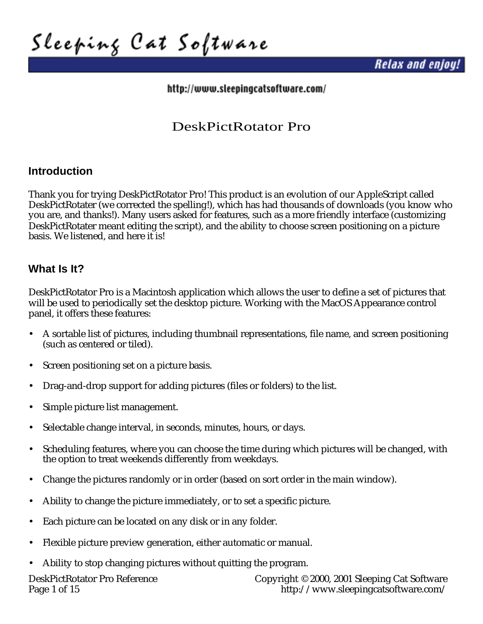Sleeping Cat Software

**Relax and enjoy!** 

http://www.sleepingcatsoftware.com/

# DeskPictRotator Pro

### **Introduction**

Thank you for trying DeskPictRotator Pro! This product is an evolution of our AppleScript called DeskPictRotater (we corrected the spelling!), which has had thousands of downloads (you know who you are, and thanks!). Many users asked for features, such as a more friendly interface (customizing DeskPictRotater meant editing the script), and the ability to choose screen positioning on a picture basis. We listened, and here it is!

### **What Is It?**

DeskPictRotator Pro is a Macintosh application which allows the user to define a set of pictures that will be used to periodically set the desktop picture. Working with the MacOS Appearance control panel, it offers these features:

- A sortable list of pictures, including thumbnail representations, file name, and screen positioning (such as centered or tiled).
- Screen positioning set on a picture basis.
- Drag-and-drop support for adding pictures (files or folders) to the list.
- Simple picture list management.
- Selectable change interval, in seconds, minutes, hours, or days.
- Scheduling features, where you can choose the time during which pictures will be changed, with the option to treat weekends differently from weekdays.
- Change the pictures randomly or in order (based on sort order in the main window).
- Ability to change the picture immediately, or to set a specific picture.
- Each picture can be located on any disk or in any folder.
- Flexible picture preview generation, either automatic or manual.
- Ability to stop changing pictures without quitting the program.

DeskPictRotator Pro Reference Copyright © 2000, 2001 Sleeping Cat Software<br>Page 1 of 15 fttp://www.sleepingcatsoftware.com/ <http://www.sleepingcatsoftware.com/>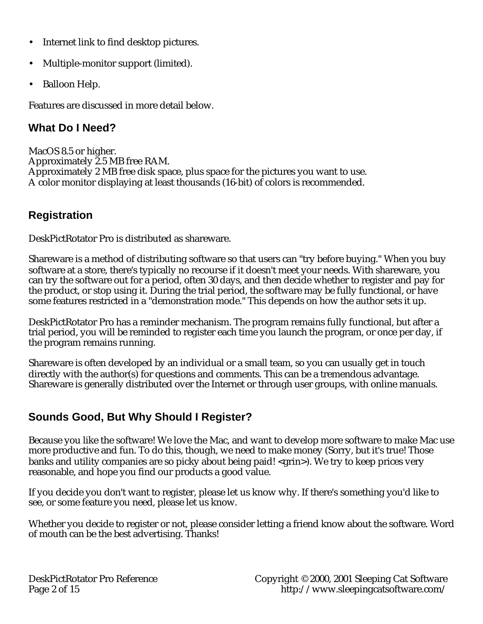- Internet link to find desktop pictures.
- Multiple-monitor support (limited).
- Balloon Help.

Features are discussed in more detail below.

### **What Do I Need?**

MacOS 8.5 or higher. Approximately 2.5 MB free RAM. Approximately 2 MB free disk space, plus space for the pictures you want to use. A color monitor displaying at least thousands (16-bit) of colors is recommended.

# **Registration**

DeskPictRotator Pro is distributed as shareware.

Shareware is a method of distributing software so that users can "try before buying." When you buy software at a store, there's typically no recourse if it doesn't meet your needs. With shareware, you can try the software out for a period, often 30 days, and then decide whether to register and pay for the product, or stop using it. During the trial period, the software may be fully functional, or have some features restricted in a "demonstration mode." This depends on how the author sets it up.

DeskPictRotator Pro has a reminder mechanism. The program remains fully functional, but after a trial period, you will be reminded to register each time you launch the program, or once per day, if the program remains running.

Shareware is often developed by an individual or a small team, so you can usually get in touch directly with the author(s) for questions and comments. This can be a tremendous advantage. Shareware is generally distributed over the Internet or through user groups, with online manuals.

# **Sounds Good, But Why Should I Register?**

Because you like the software! We love the Mac, and want to develop more software to make Mac use more productive and fun. To do this, though, we need to make money (Sorry, but it's true! Those banks and utility companies are so picky about being paid! <grin>). We try to keep prices very reasonable, and hope you find our products a good value.

If you decide you don't want to register, please let us know why. If there's something you'd like to see, or some feature you need, please let us know.

Whether you decide to register or not, please consider letting a friend know about the software. Word of mouth can be the best advertising. Thanks!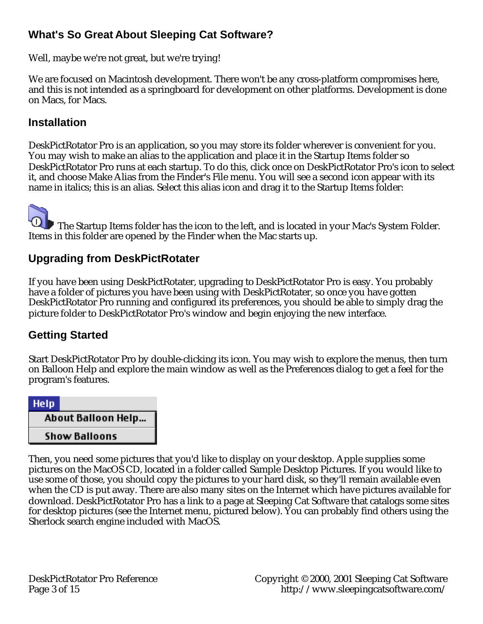## **What's So Great About Sleeping Cat Software?**

Well, maybe we're not great, but we're trying!

We are focused on Macintosh development. There won't be any cross-platform compromises here, and this is not intended as a springboard for development on other platforms. Development is done on Macs, for Macs.

### **Installation**

DeskPictRotator Pro is an application, so you may store its folder wherever is convenient for you. You may wish to make an alias to the application and place it in the Startup Items folder so DeskPictRotator Pro runs at each startup. To do this, click once on DeskPictRotator Pro's icon to select it, and choose Make Alias from the Finder's File menu. You will see a second icon appear with its name in italics; this is an alias. Select this alias icon and drag it to the Startup Items folder:

 The Startup Items folder has the icon to the left, and is located in your Mac's System Folder. Items in this folder are opened by the Finder when the Mac starts up.

## **Upgrading from DeskPictRotater**

If you have been using DeskPictRotater, upgrading to DeskPictRotator Pro is easy. You probably have a folder of pictures you have been using with DeskPictRotater, so once you have gotten DeskPictRotator Pro running and configured its preferences, you should be able to simply drag the picture folder to DeskPictRotator Pro's window and begin enjoying the new interface.

## **Getting Started**

Start DeskPictRotator Pro by double-clicking its icon. You may wish to explore the menus, then turn on Balloon Help and explore the main window as well as the Preferences dialog to get a feel for the program's features.



Then, you need some pictures that you'd like to display on your desktop. Apple supplies some pictures on the MacOS CD, located in a folder called Sample Desktop Pictures. If you would like to use some of those, you should copy the pictures to your hard disk, so they'll remain available even when the CD is put away. There are also many sites on the Internet which have pictures available for download. DeskPictRotator Pro has a link to a page at Sleeping Cat Software that catalogs some sites for desktop pictures (see the Internet menu, pictured below). You can probably find others using the Sherlock search engine included with MacOS.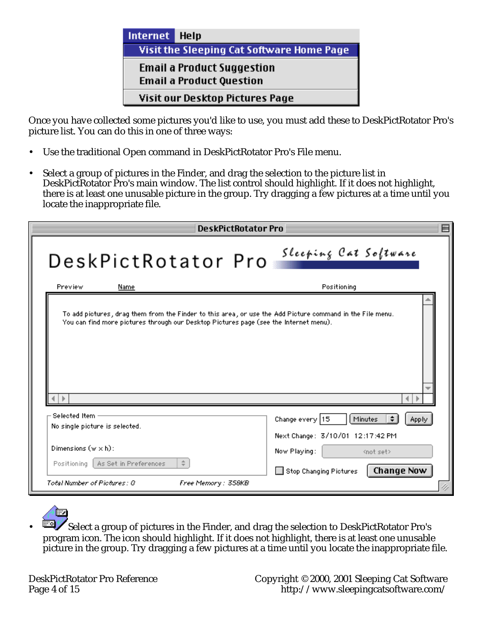

Once you have collected some pictures you'd like to use, you must add these to DeskPictRotator Pro's picture list. You can do this in one of three ways:

- Use the traditional Open command in DeskPictRotator Pro's File menu.
- Select a group of pictures in the Finder, and drag the selection to the picture list in DeskPictRotator Pro's main window. The list control should highlight. If it does not highlight, there is at least one unusable picture in the group. Try dragging a few pictures at a time until you locate the inappropriate file.

| <b>DeskPictRotator Pro</b>                                                                                                                                                                         | ▤                                                                                                                       |
|----------------------------------------------------------------------------------------------------------------------------------------------------------------------------------------------------|-------------------------------------------------------------------------------------------------------------------------|
| DeskPictRotator Pro                                                                                                                                                                                | Sleeping Cat Software                                                                                                   |
| Preview<br>Name                                                                                                                                                                                    | Positioning                                                                                                             |
| To add pictures, drag them from the Finder to this area, or use the Add Picture command in the File menu.<br>You can find more pictures through our Desktop Pictures page (see the Internet menu). |                                                                                                                         |
| Selected Item.<br>No single picture is selected.                                                                                                                                                   | $\div$<br>Change every 15<br>Minutes<br>Apply                                                                           |
| Dimensions $(w \times h)$ :<br>÷<br>As Set in Preferences<br>Positioning<br>Total Number of Pictures : 0<br>Free Memory : 358KB                                                                    | Next Change: 3/10/01 12:17:42 PM<br>Now Playing:<br><not set=""><br/><b>Change Now</b><br/>Stop Changing Pictures</not> |

• Select a group of pictures in the Finder, and drag the selection to DeskPictRotator Pro's program icon. The icon should highlight. If it does not highlight, there is at least one unusable picture in the group. Try dragging a few pictures at a time until you locate the inappropriate file.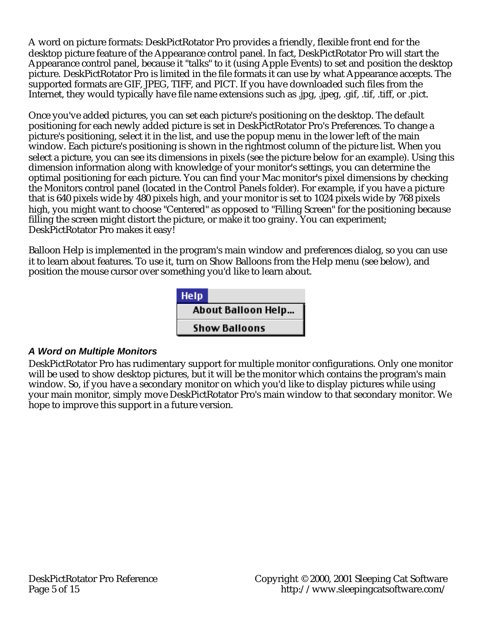A word on picture formats: DeskPictRotator Pro provides a friendly, flexible front end for the desktop picture feature of the Appearance control panel. In fact, DeskPictRotator Pro will start the Appearance control panel, because it "talks" to it (using Apple Events) to set and position the desktop picture. DeskPictRotator Pro is limited in the file formats it can use by what Appearance accepts. The supported formats are GIF, JPEG, TIFF, and PICT. If you have downloaded such files from the Internet, they would typically have file name extensions such as .jpg, .jpeg, .gif, .tif, .tiff, or .pict.

Once you've added pictures, you can set each picture's positioning on the desktop. The default positioning for each newly added picture is set in DeskPictRotator Pro's Preferences. To change a picture's positioning, select it in the list, and use the popup menu in the lower left of the main window. Each picture's positioning is shown in the rightmost column of the picture list. When you select a picture, you can see its dimensions in pixels (see the picture below for an example). Using this dimension information along with knowledge of your monitor's settings, you can determine the optimal positioning for each picture. You can find your Mac monitor's pixel dimensions by checking the Monitors control panel (located in the Control Panels folder). For example, if you have a picture that is 640 pixels wide by 480 pixels high, and your monitor is set to 1024 pixels wide by 768 pixels high, you might want to choose "Centered" as opposed to "Filling Screen" for the positioning because filling the screen might distort the picture, or make it too grainy. You can experiment; DeskPictRotator Pro makes it easy!

Balloon Help is implemented in the program's main window and preferences dialog, so you can use it to learn about features. To use it, turn on Show Balloons from the Help menu (see below), and position the mouse cursor over something you'd like to learn about.



### **A Word on Multiple Monitors**

DeskPictRotator Pro has rudimentary support for multiple monitor configurations. Only one monitor will be used to show desktop pictures, but it will be the monitor which contains the program's main window. So, if you have a secondary monitor on which you'd like to display pictures while using your main monitor, simply move DeskPictRotator Pro's main window to that secondary monitor. We hope to improve this support in a future version.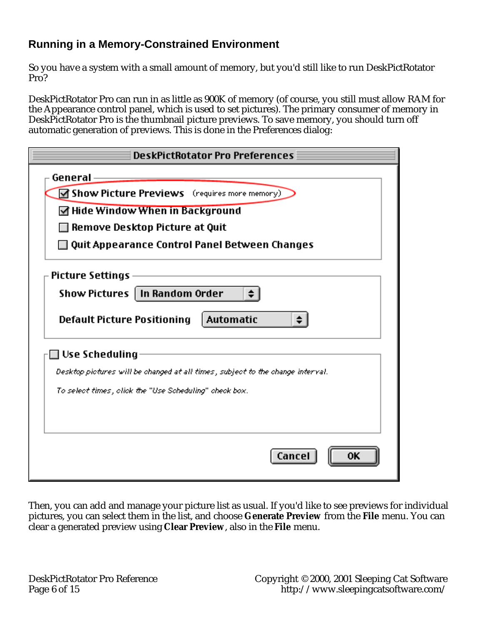## **Running in a Memory-Constrained Environment**

So you have a system with a small amount of memory, but you'd still like to run DeskPictRotator Pro?

DeskPictRotator Pro can run in as little as 900K of memory (of course, you still must allow RAM for the Appearance control panel, which is used to set pictures). The primary consumer of memory in DeskPictRotator Pro is the thumbnail picture previews. To save memory, you should turn off automatic generation of previews. This is done in the Preferences dialog:

| <b>DeskPictRotator Pro Preferences</b>                                          |  |  |  |  |  |  |
|---------------------------------------------------------------------------------|--|--|--|--|--|--|
| General                                                                         |  |  |  |  |  |  |
| $\blacksquare$ Show Picture Previews (requires more memory)                     |  |  |  |  |  |  |
| $\Box$ Hide Window When in Background                                           |  |  |  |  |  |  |
| Remove Desktop Picture at Quit                                                  |  |  |  |  |  |  |
| Quit Appearance Control Panel Between Changes                                   |  |  |  |  |  |  |
| Picture Settings                                                                |  |  |  |  |  |  |
| Show Pictures   In Random Order                                                 |  |  |  |  |  |  |
| Automatic<br><b>Default Picture Positioning</b>                                 |  |  |  |  |  |  |
| $\Box$ Use Scheduling                                                           |  |  |  |  |  |  |
| Desktop pictures will be changed at all times , subject to the change interval. |  |  |  |  |  |  |
| To select times, click the "Use Scheduling" check box.                          |  |  |  |  |  |  |
|                                                                                 |  |  |  |  |  |  |
|                                                                                 |  |  |  |  |  |  |
| Cancel                                                                          |  |  |  |  |  |  |

Then, you can add and manage your picture list as usual. If you'd like to see previews for individual pictures, you can select them in the list, and choose **Generate Preview** from the **File** menu. You can clear a generated preview using **Clear Preview**, also in the **File** menu.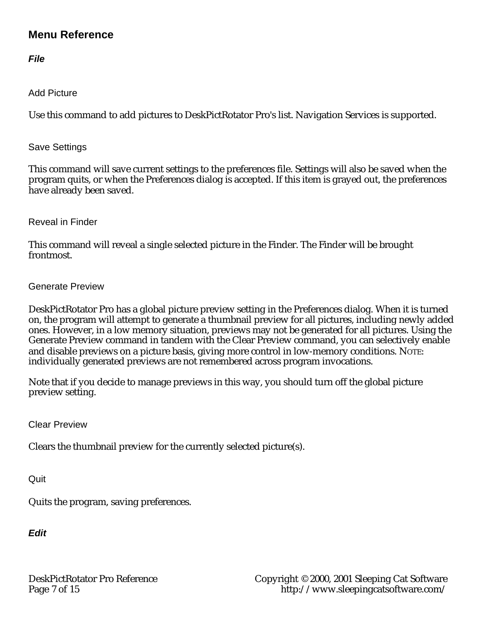### **Menu Reference**

**File**

Add Picture

Use this command to add pictures to DeskPictRotator Pro's list. Navigation Services is supported.

Save Settings

This command will save current settings to the preferences file. Settings will also be saved when the program quits, or when the Preferences dialog is accepted. If this item is grayed out, the preferences have already been saved.

Reveal in Finder

This command will reveal a single selected picture in the Finder. The Finder will be brought frontmost.

Generate Preview

DeskPictRotator Pro has a global picture preview setting in the Preferences dialog. When it is turned on, the program will attempt to generate a thumbnail preview for all pictures, including newly added ones. However, in a low memory situation, previews may not be generated for all pictures. Using the Generate Preview command in tandem with the Clear Preview command, you can selectively enable and disable previews on a picture basis, giving more control in low-memory conditions. NOTE: individually generated previews are not remembered across program invocations.

Note that if you decide to manage previews in this way, you should turn off the global picture preview setting.

Clear Preview

Clears the thumbnail preview for the currently selected picture(s).

**Quit** 

Quits the program, saving preferences.

**Edit**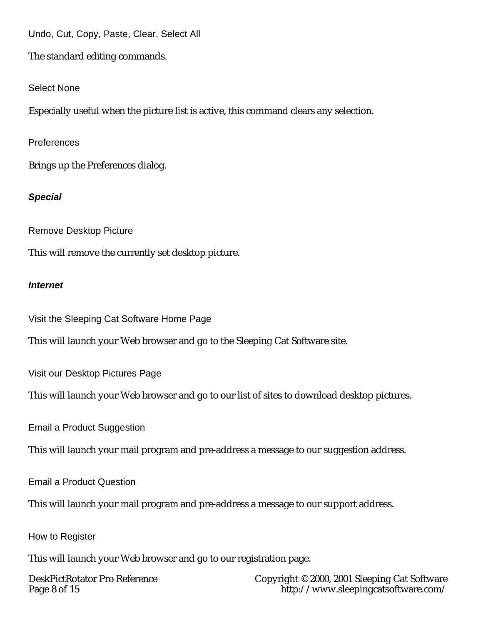Undo, Cut, Copy, Paste, Clear, Select All

The standard editing commands.

Select None

Especially useful when the picture list is active, this command clears any selection.

**Preferences** 

Brings up the Preferences dialog.

### **Special**

Remove Desktop Picture

This will remove the currently set desktop picture.

### **Internet**

Visit the Sleeping Cat Software Home Page

This will launch your Web browser and go to the Sleeping Cat Software site.

Visit our Desktop Pictures Page

This will launch your Web browser and go to our list of sites to download desktop pictures.

Email a Product Suggestion

This will launch your mail program and pre-address a message to our suggestion address.

Email a Product Question

This will launch your mail program and pre-address a message to our support address.

How to Register

This will launch your Web browser and go to our registration page.

DeskPictRotator Pro Reference Copyright © 2000, 2001 Sleeping Cat Software<br>Page 8 of 15 fttp://www.sleepingcatsoftware.com/ <http://www.sleepingcatsoftware.com/>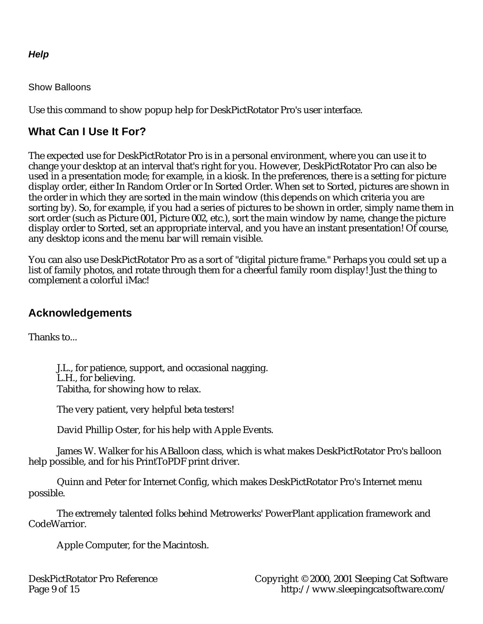### **Help**

Show Balloons

Use this command to show popup help for DeskPictRotator Pro's user interface.

# **What Can I Use It For?**

The expected use for DeskPictRotator Pro is in a personal environment, where you can use it to change your desktop at an interval that's right for you. However, DeskPictRotator Pro can also be used in a presentation mode; for example, in a kiosk. In the preferences, there is a setting for picture display order, either In Random Order or In Sorted Order. When set to Sorted, pictures are shown in the order in which they are sorted in the main window (this depends on which criteria you are sorting by). So, for example, if you had a series of pictures to be shown in order, simply name them in sort order (such as Picture 001, Picture 002, etc.), sort the main window by name, change the picture display order to Sorted, set an appropriate interval, and you have an instant presentation! Of course, any desktop icons and the menu bar will remain visible.

You can also use DeskPictRotator Pro as a sort of "digital picture frame." Perhaps you could set up a list of family photos, and rotate through them for a cheerful family room display! Just the thing to complement a colorful iMac!

## **Acknowledgements**

Thanks to...

J.L., for patience, support, and occasional nagging. L.H., for believing. Tabitha, for showing how to relax.

The very patient, very helpful beta testers!

David Phillip Oster, for his help with Apple Events.

James W. Walker for his ABalloon class, which is what makes DeskPictRotator Pro's balloon help possible, and for his PrintToPDF print driver.

Quinn and Peter for Internet Config, which makes DeskPictRotator Pro's Internet menu possible.

The extremely talented folks behind Metrowerks' PowerPlant application framework and CodeWarrior.

Apple Computer, for the Macintosh.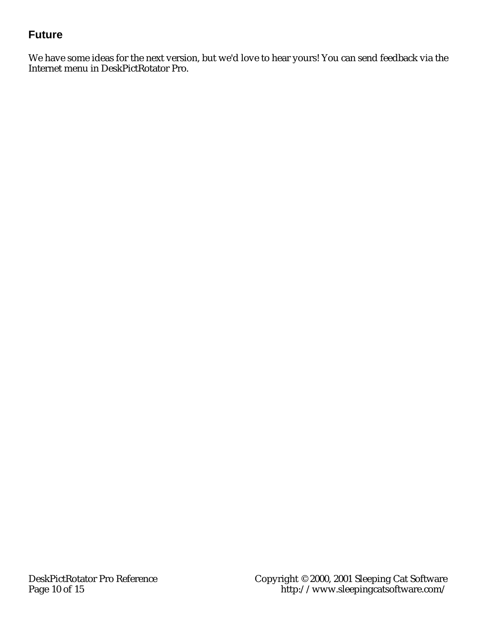# **Future**

We have some ideas for the next version, but we'd love to hear yours! You can send feedback via the Internet menu in DeskPictRotator Pro.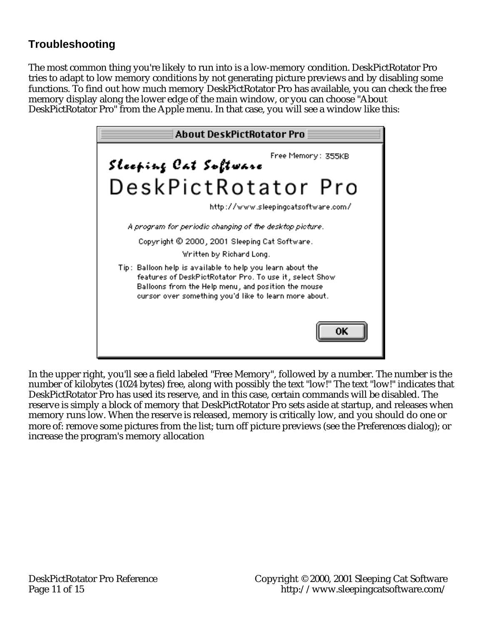# **Troubleshooting**

The most common thing you're likely to run into is a low-memory condition. DeskPictRotator Pro tries to adapt to low memory conditions by not generating picture previews and by disabling some functions. To find out how much memory DeskPictRotator Pro has available, you can check the free memory display along the lower edge of the main window, or you can choose "About DeskPictRotator Pro" from the Apple menu. In that case, you will see a window like this:



In the upper right, you'll see a field labeled "Free Memory", followed by a number. The number is the number of kilobytes (1024 bytes) free, along with possibly the text "low!" The text "low!" indicates that DeskPictRotator Pro has used its reserve, and in this case, certain commands will be disabled. The reserve is simply a block of memory that DeskPictRotator Pro sets aside at startup, and releases when memory runs low. When the reserve is released, memory is critically low, and you should do one or more of: remove some pictures from the list; turn off picture previews (see the Preferences dialog); or increase the program's memory allocation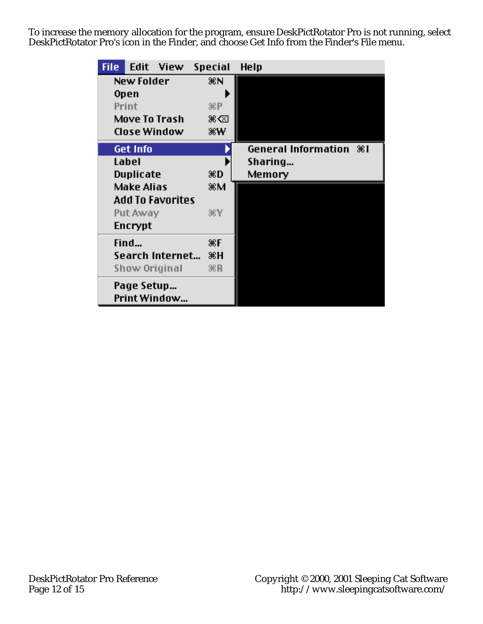To increase the memory allocation for the program, ensure DeskPictRotator Pro is not running, select DeskPictRotator Pro's icon in the Finder, and choose Get Info from the Finder's File menu.

| <b>File</b> | Edit            | View             | <b>Special</b>  | Help                       |
|-------------|-----------------|------------------|-----------------|----------------------------|
|             | New Folder      |                  | ЖN              |                            |
|             | Open            |                  |                 |                            |
|             | Print           |                  | $\mathcal{R}P$  |                            |
|             |                 | Move To Trash    | ж⊲              |                            |
|             |                 | Close Window     | жW              |                            |
|             | <b>Get Info</b> |                  |                 | General Information $%$ 81 |
|             | Label           |                  |                 | Sharing                    |
|             | Duplicate       |                  | ЖD              | Memory                     |
|             | Make Alias      |                  | жM              |                            |
|             |                 | Add To Favorites |                 |                            |
|             | Put Away        |                  | ЖY              |                            |
|             | Encrypt         |                  |                 |                            |
|             | Find            |                  | ЖF              |                            |
|             |                 | Search Internet  | жH              |                            |
|             |                 | Show Original    | $\mathcal{R}$ R |                            |
|             | Page Setup      | Print Window     |                 |                            |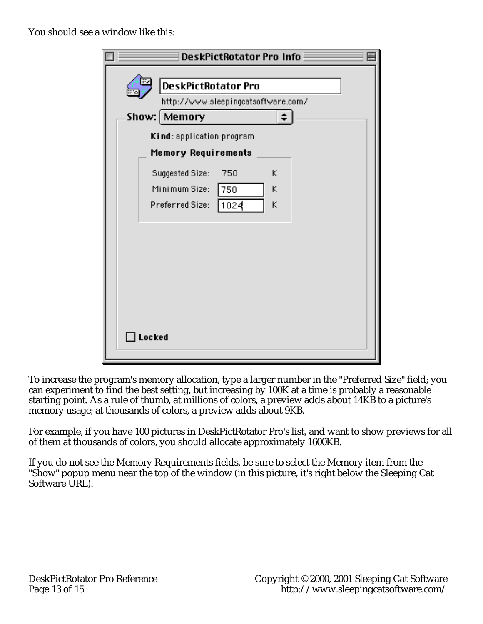You should see a window like this:

| <b>DeskPictRotator Pro Info</b>                                                          |  |
|------------------------------------------------------------------------------------------|--|
| <b>DeskPictRotator Pro</b><br>http://www.sleepingcatsoftware.com/<br>Show:   Memory      |  |
| Kind: application program<br><b>Memory Requirements</b>                                  |  |
| Suggested Size:<br>K<br>750<br>Minimum Size:<br>Κ<br>750<br>K<br>1024<br>Preferred Size: |  |
| ] Locked                                                                                 |  |

To increase the program's memory allocation, type a larger number in the "Preferred Size" field; you can experiment to find the best setting, but increasing by 100K at a time is probably a reasonable starting point. As a rule of thumb, at millions of colors, a preview adds about 14KB to a picture's memory usage; at thousands of colors, a preview adds about 9KB.

For example, if you have 100 pictures in DeskPictRotator Pro's list, and want to show previews for all of them at thousands of colors, you should allocate approximately 1600KB.

If you do not see the Memory Requirements fields, be sure to select the Memory item from the "Show" popup menu near the top of the window (in this picture, it's right below the Sleeping Cat Software URL).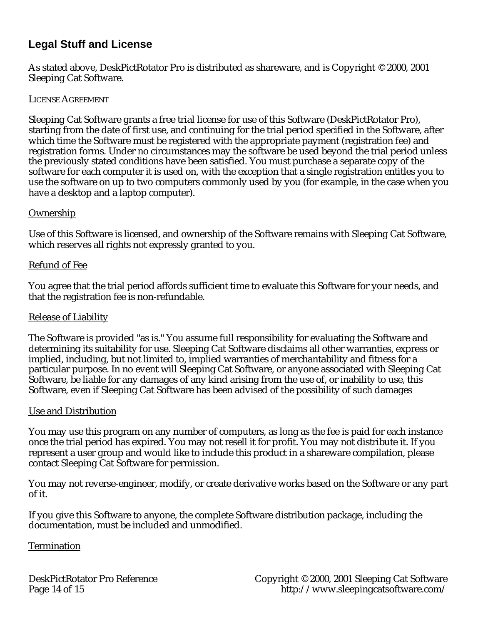## **Legal Stuff and License**

As stated above, DeskPictRotator Pro is distributed as shareware, and is Copyright © 2000, 2001 Sleeping Cat Software.

#### LICENSE AGREEMENT

Sleeping Cat Software grants a free trial license for use of this Software (DeskPictRotator Pro), starting from the date of first use, and continuing for the trial period specified in the Software, after which time the Software must be registered with the appropriate payment (registration fee) and registration forms. Under no circumstances may the software be used beyond the trial period unless the previously stated conditions have been satisfied. You must purchase a separate copy of the software for each computer it is used on, with the exception that a single registration entitles you to use the software on up to two computers commonly used by you (for example, in the case when you have a desktop and a laptop computer).

#### **Ownership**

Use of this Software is licensed, and ownership of the Software remains with Sleeping Cat Software, which reserves all rights not expressly granted to you.

#### Refund of Fee

You agree that the trial period affords sufficient time to evaluate this Software for your needs, and that the registration fee is non-refundable.

#### Release of Liability

The Software is provided "as is." You assume full responsibility for evaluating the Software and determining its suitability for use. Sleeping Cat Software disclaims all other warranties, express or implied, including, but not limited to, implied warranties of merchantability and fitness for a particular purpose. In no event will Sleeping Cat Software, or anyone associated with Sleeping Cat Software, be liable for any damages of any kind arising from the use of, or inability to use, this Software, even if Sleeping Cat Software has been advised of the possibility of such damages

#### Use and Distribution

You may use this program on any number of computers, as long as the fee is paid for each instance once the trial period has expired. You may not resell it for profit. You may not distribute it. If you represent a user group and would like to include this product in a shareware compilation, please contact Sleeping Cat Software for permission.

You may not reverse-engineer, modify, or create derivative works based on the Software or any part of it.

If you give this Software to anyone, the complete Software distribution package, including the documentation, must be included and unmodified.

#### **Termination**